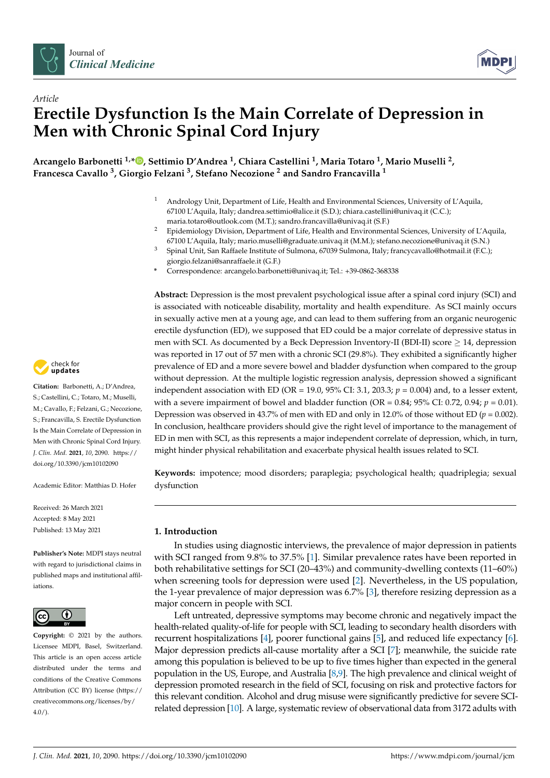



# *Article* **Erectile Dysfunction Is the Main Correlate of Depression in Men with Chronic Spinal Cord Injury**

**Arcangelo Barbonetti 1,[\\*](https://orcid.org/0000-0002-6888-9585) , Settimio D'Andrea <sup>1</sup> , Chiara Castellini <sup>1</sup> , Maria Totaro <sup>1</sup> , Mario Muselli <sup>2</sup> , Francesca Cavallo <sup>3</sup> , Giorgio Felzani <sup>3</sup> , Stefano Necozione <sup>2</sup> and Sandro Francavilla <sup>1</sup>**

- <sup>1</sup> Andrology Unit, Department of Life, Health and Environmental Sciences, University of L'Aquila, 67100 L'Aquila, Italy; dandrea.settimio@alice.it (S.D.); chiara.castellini@univaq.it (C.C.); maria.totaro@outlook.com (M.T.); sandro.francavilla@univaq.it (S.F.)
- <sup>2</sup> Epidemiology Division, Department of Life, Health and Environmental Sciences, University of L'Aquila, 67100 L'Aquila, Italy; mario.muselli@graduate.univaq.it (M.M.); stefano.necozione@univaq.it (S.N.)
- <sup>3</sup> Spinal Unit, San Raffaele Institute of Sulmona, 67039 Sulmona, Italy; francycavallo@hotmail.it (F.C.); giorgio.felzani@sanraffaele.it (G.F.)
- **\*** Correspondence: arcangelo.barbonetti@univaq.it; Tel.: +39-0862-368338

**Abstract:** Depression is the most prevalent psychological issue after a spinal cord injury (SCI) and is associated with noticeable disability, mortality and health expenditure. As SCI mainly occurs in sexually active men at a young age, and can lead to them suffering from an organic neurogenic erectile dysfunction (ED), we supposed that ED could be a major correlate of depressive status in men with SCI. As documented by a Beck Depression Inventory-II (BDI-II) score  $\geq 14$ , depression was reported in 17 out of 57 men with a chronic SCI (29.8%). They exhibited a significantly higher prevalence of ED and a more severe bowel and bladder dysfunction when compared to the group without depression. At the multiple logistic regression analysis, depression showed a significant independent association with ED (OR = 19.0, 95% CI: 3.1, 203.3;  $p = 0.004$ ) and, to a lesser extent, with a severe impairment of bowel and bladder function (OR =  $0.84$ ;  $95\%$  CI:  $0.72$ ,  $0.94$ ;  $p = 0.01$ ). Depression was observed in 43.7% of men with ED and only in 12.0% of those without ED ( $p = 0.002$ ). In conclusion, healthcare providers should give the right level of importance to the management of ED in men with SCI, as this represents a major independent correlate of depression, which, in turn, might hinder physical rehabilitation and exacerbate physical health issues related to SCI.

**Keywords:** impotence; mood disorders; paraplegia; psychological health; quadriplegia; sexual dysfunction

## **1. Introduction**

In studies using diagnostic interviews, the prevalence of major depression in patients with SCI ranged from 9.8% to 37.5% [\[1\]](#page-6-0). Similar prevalence rates have been reported in both rehabilitative settings for SCI (20–43%) and community-dwelling contexts (11–60%) when screening tools for depression were used [\[2\]](#page-6-1). Nevertheless, in the US population, the 1-year prevalence of major depression was 6.7% [\[3\]](#page-6-2), therefore resizing depression as a major concern in people with SCI.

Left untreated, depressive symptoms may become chronic and negatively impact the health-related quality-of-life for people with SCI, leading to secondary health disorders with recurrent hospitalizations [\[4\]](#page-6-3), poorer functional gains [\[5\]](#page-6-4), and reduced life expectancy [\[6\]](#page-6-5). Major depression predicts all-cause mortality after a SCI [\[7\]](#page-6-6); meanwhile, the suicide rate among this population is believed to be up to five times higher than expected in the general population in the US, Europe, and Australia [\[8](#page-6-7)[,9\]](#page-6-8). The high prevalence and clinical weight of depression promoted research in the field of SCI, focusing on risk and protective factors for this relevant condition. Alcohol and drug misuse were significantly predictive for severe SCIrelated depression [\[10\]](#page-6-9). A large, systematic review of observational data from 3172 adults with



**Citation:** Barbonetti, A.; D'Andrea, S.; Castellini, C.; Totaro, M.; Muselli, M.; Cavallo, F.; Felzani, G.; Necozione, S.; Francavilla, S. Erectile Dysfunction Is the Main Correlate of Depression in Men with Chronic Spinal Cord Injury. *J. Clin. Med.* **2021**, *10*, 2090. [https://](https://doi.org/10.3390/jcm10102090) [doi.org/10.3390/jcm10102090](https://doi.org/10.3390/jcm10102090)

Academic Editor: Matthias D. Hofer

Received: 26 March 2021 Accepted: 8 May 2021 Published: 13 May 2021

**Publisher's Note:** MDPI stays neutral with regard to jurisdictional claims in published maps and institutional affiliations.



**Copyright:** © 2021 by the authors. Licensee MDPI, Basel, Switzerland. This article is an open access article distributed under the terms and conditions of the Creative Commons Attribution (CC BY) license (https:/[/](https://creativecommons.org/licenses/by/4.0/) [creativecommons.org/licenses/by/](https://creativecommons.org/licenses/by/4.0/) 4.0/).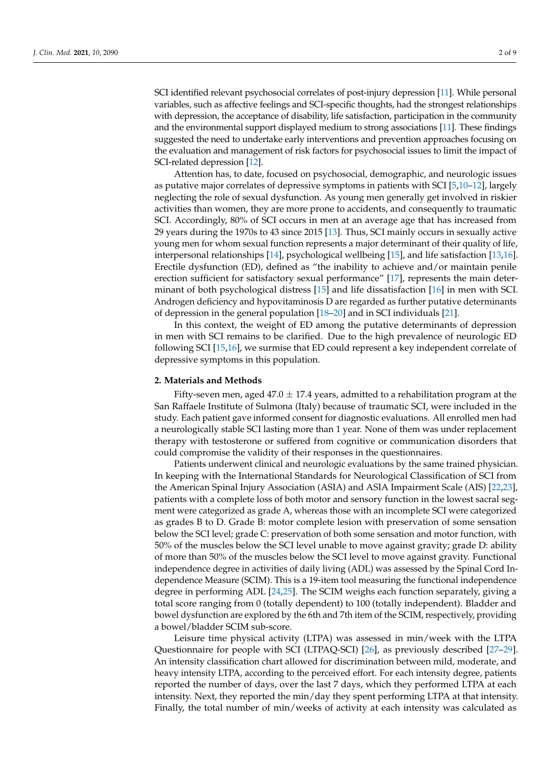SCI identified relevant psychosocial correlates of post-injury depression [\[11\]](#page-7-0). While personal variables, such as affective feelings and SCI-specific thoughts, had the strongest relationships with depression, the acceptance of disability, life satisfaction, participation in the community and the environmental support displayed medium to strong associations [\[11\]](#page-7-0). These findings suggested the need to undertake early interventions and prevention approaches focusing on the evaluation and management of risk factors for psychosocial issues to limit the impact of SCI-related depression [\[12\]](#page-7-1).

Attention has, to date, focused on psychosocial, demographic, and neurologic issues as putative major correlates of depressive symptoms in patients with SCI [\[5,](#page-6-4)[10–](#page-6-9)[12\]](#page-7-1), largely neglecting the role of sexual dysfunction. As young men generally get involved in riskier activities than women, they are more prone to accidents, and consequently to traumatic SCI. Accordingly, 80% of SCI occurs in men at an average age that has increased from 29 years during the 1970s to 43 since 2015 [\[13\]](#page-7-2). Thus, SCI mainly occurs in sexually active young men for whom sexual function represents a major determinant of their quality of life, interpersonal relationships [\[14\]](#page-7-3), psychological wellbeing [\[15\]](#page-7-4), and life satisfaction [\[13,](#page-7-2)[16\]](#page-7-5). Erectile dysfunction (ED), defined as "the inability to achieve and/or maintain penile erection sufficient for satisfactory sexual performance" [\[17\]](#page-7-6), represents the main determinant of both psychological distress [\[15\]](#page-7-4) and life dissatisfaction [\[16\]](#page-7-5) in men with SCI. Androgen deficiency and hypovitaminosis D are regarded as further putative determinants of depression in the general population [\[18](#page-7-7)[–20\]](#page-7-8) and in SCI individuals [\[21\]](#page-7-9).

In this context, the weight of ED among the putative determinants of depression in men with SCI remains to be clarified. Due to the high prevalence of neurologic ED following SCI [\[15](#page-7-4)[,16\]](#page-7-5), we surmise that ED could represent a key independent correlate of depressive symptoms in this population.

#### **2. Materials and Methods**

Fifty-seven men, aged 47.0  $\pm$  17.4 years, admitted to a rehabilitation program at the San Raffaele Institute of Sulmona (Italy) because of traumatic SCI, were included in the study. Each patient gave informed consent for diagnostic evaluations. All enrolled men had a neurologically stable SCI lasting more than 1 year. None of them was under replacement therapy with testosterone or suffered from cognitive or communication disorders that could compromise the validity of their responses in the questionnaires.

Patients underwent clinical and neurologic evaluations by the same trained physician. In keeping with the International Standards for Neurological Classification of SCI from the American Spinal Injury Association (ASIA) and ASIA Impairment Scale (AIS) [\[22,](#page-7-10)[23\]](#page-7-11), patients with a complete loss of both motor and sensory function in the lowest sacral segment were categorized as grade A, whereas those with an incomplete SCI were categorized as grades B to D. Grade B: motor complete lesion with preservation of some sensation below the SCI level; grade C: preservation of both some sensation and motor function, with 50% of the muscles below the SCI level unable to move against gravity; grade D: ability of more than 50% of the muscles below the SCI level to move against gravity. Functional independence degree in activities of daily living (ADL) was assessed by the Spinal Cord Independence Measure (SCIM). This is a 19-item tool measuring the functional independence degree in performing ADL [\[24](#page-7-12)[,25\]](#page-7-13). The SCIM weighs each function separately, giving a total score ranging from 0 (totally dependent) to 100 (totally independent). Bladder and bowel dysfunction are explored by the 6th and 7th item of the SCIM, respectively, providing a bowel/bladder SCIM sub-score.

Leisure time physical activity (LTPA) was assessed in min/week with the LTPA Questionnaire for people with SCI (LTPAQ-SCI) [\[26\]](#page-7-14), as previously described [\[27](#page-7-15)[–29\]](#page-7-16). An intensity classification chart allowed for discrimination between mild, moderate, and heavy intensity LTPA, according to the perceived effort. For each intensity degree, patients reported the number of days, over the last 7 days, which they performed LTPA at each intensity. Next, they reported the min/day they spent performing LTPA at that intensity. Finally, the total number of min/weeks of activity at each intensity was calculated as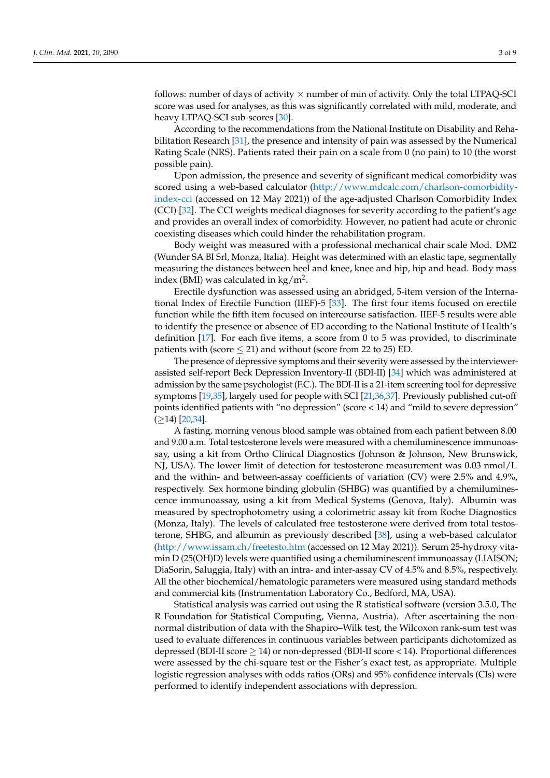follows: number of days of activity  $\times$  number of min of activity. Only the total LTPAQ-SCI score was used for analyses, as this was significantly correlated with mild, moderate, and heavy LTPAQ-SCI sub-scores [\[30\]](#page-7-17).

According to the recommendations from the National Institute on Disability and Rehabilitation Research [\[31\]](#page-7-18), the presence and intensity of pain was assessed by the Numerical Rating Scale (NRS). Patients rated their pain on a scale from 0 (no pain) to 10 (the worst possible pain).

Upon admission, the presence and severity of significant medical comorbidity was scored using a web-based calculator [\(http://www.mdcalc.com/charlson-comorbidity](http://www.mdcalc.com/charlson-comorbidity-index-cci)[index-cci](http://www.mdcalc.com/charlson-comorbidity-index-cci) (accessed on 12 May 2021)) of the age-adjusted Charlson Comorbidity Index (CCI) [\[32\]](#page-7-19). The CCI weights medical diagnoses for severity according to the patient's age and provides an overall index of comorbidity. However, no patient had acute or chronic coexisting diseases which could hinder the rehabilitation program.

Body weight was measured with a professional mechanical chair scale Mod. DM2 (Wunder SA BI Srl, Monza, Italia). Height was determined with an elastic tape, segmentally measuring the distances between heel and knee, knee and hip, hip and head. Body mass index (BMI) was calculated in  $\text{kg/m}^2$ .

Erectile dysfunction was assessed using an abridged, 5-item version of the International Index of Erectile Function (IIEF)-5 [\[33\]](#page-7-20). The first four items focused on erectile function while the fifth item focused on intercourse satisfaction. IIEF-5 results were able to identify the presence or absence of ED according to the National Institute of Health's definition  $[17]$ . For each five items, a score from 0 to 5 was provided, to discriminate patients with (score  $\leq$  21) and without (score from 22 to 25) ED.

The presence of depressive symptoms and their severity were assessed by the interviewerassisted self-report Beck Depression Inventory-II (BDI-II) [\[34\]](#page-7-21) which was administered at admission by the same psychologist (F.C.). The BDI-II is a 21-item screening tool for depressive symptoms [\[19](#page-7-22)[,35\]](#page-7-23), largely used for people with SCI [\[21,](#page-7-9)[36,](#page-8-0)[37\]](#page-8-1). Previously published cut-off points identified patients with "no depression" (score < 14) and "mild to severe depression"  $(≥14)$  [\[20,](#page-7-8)[34\]](#page-7-21).

A fasting, morning venous blood sample was obtained from each patient between 8.00 and 9.00 a.m. Total testosterone levels were measured with a chemiluminescence immunoassay, using a kit from Ortho Clinical Diagnostics (Johnson & Johnson, New Brunswick, NJ, USA). The lower limit of detection for testosterone measurement was 0.03 nmol/L and the within- and between-assay coefficients of variation (CV) were 2.5% and 4.9%, respectively. Sex hormone binding globulin (SHBG) was quantified by a chemiluminescence immunoassay, using a kit from Medical Systems (Genova, Italy). Albumin was measured by spectrophotometry using a colorimetric assay kit from Roche Diagnostics (Monza, Italy). The levels of calculated free testosterone were derived from total testosterone, SHBG, and albumin as previously described [\[38\]](#page-8-2), using a web-based calculator [\(http://www.issam.ch/freetesto.htm](http://www.issam.ch/freetesto.htm) (accessed on 12 May 2021)). Serum 25-hydroxy vitamin D (25(OH)D) levels were quantified using a chemiluminescent immunoassay (LIAISON; DiaSorin, Saluggia, Italy) with an intra- and inter-assay CV of 4.5% and 8.5%, respectively. All the other biochemical/hematologic parameters were measured using standard methods and commercial kits (Instrumentation Laboratory Co., Bedford, MA, USA).

Statistical analysis was carried out using the R statistical software (version 3.5.0, The R Foundation for Statistical Computing, Vienna, Austria). After ascertaining the nonnormal distribution of data with the Shapiro–Wilk test, the Wilcoxon rank-sum test was used to evaluate differences in continuous variables between participants dichotomized as depressed (BDI-II score ≥ 14) or non-depressed (BDI-II score < 14). Proportional differences were assessed by the chi-square test or the Fisher's exact test, as appropriate. Multiple logistic regression analyses with odds ratios (ORs) and 95% confidence intervals (CIs) were performed to identify independent associations with depression.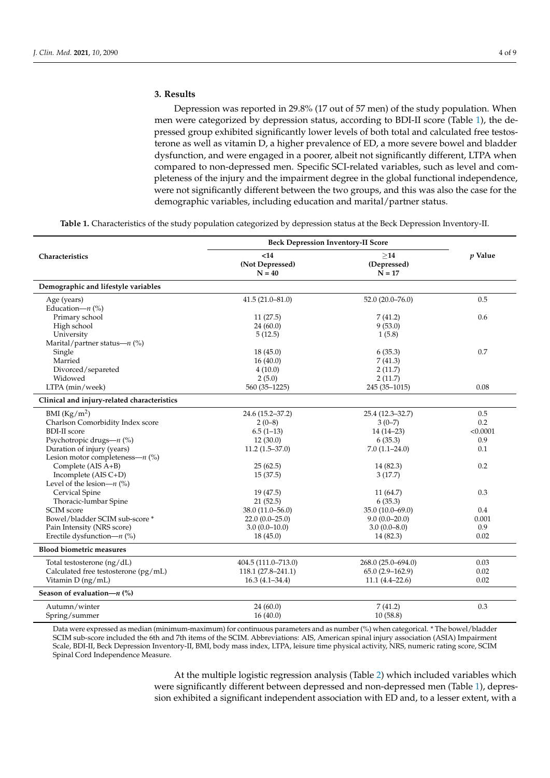### **3. Results**

Depression was reported in 29.8% (17 out of 57 men) of the study population. When men were categorized by depression status, according to BDI-II score (Table [1\)](#page-3-0), the depressed group exhibited significantly lower levels of both total and calculated free testosterone as well as vitamin D, a higher prevalence of ED, a more severe bowel and bladder dysfunction, and were engaged in a poorer, albeit not significantly different, LTPA when compared to non-depressed men. Specific SCI-related variables, such as level and completeness of the injury and the impairment degree in the global functional independence, were not significantly different between the two groups, and this was also the case for the demographic variables, including education and marital/partner status.

**Table 1.** Characteristics of the study population categorized by depression status at the Beck Depression Inventory-II.

<span id="page-3-0"></span>

|                                             | <b>Beck Depression Inventory-II Score</b> |                                |                |
|---------------------------------------------|-------------------------------------------|--------------------------------|----------------|
| Characteristics                             | $14$<br>(Not Depressed)<br>$N = 40$       | >14<br>(Depressed)<br>$N = 17$ | <i>v</i> Value |
| Demographic and lifestyle variables         |                                           |                                |                |
| Age (years)                                 | $41.5(21.0 - 81.0)$                       | $52.0(20.0 - 76.0)$            | 0.5            |
| Education- $n$ (%)                          |                                           |                                |                |
| Primary school                              | 11(27.5)                                  | 7(41.2)                        | 0.6            |
| High school                                 | 24(60.0)                                  | 9(53.0)                        |                |
| University                                  | 5(12.5)                                   | 1(5.8)                         |                |
| Marital/partner status— $n$ (%)             |                                           |                                |                |
| Single                                      | 18(45.0)                                  | 6(35.3)                        | 0.7            |
| Married                                     | 16(40.0)                                  | 7(41.3)                        |                |
| Divorced/separeted                          | 4(10.0)                                   | 2(11.7)                        |                |
| Widowed                                     | 2(5.0)                                    | 2(11.7)                        |                |
| LTPA (min/week)                             | 560 (35-1225)                             | 245 (35-1015)                  | 0.08           |
| Clinical and injury-related characteristics |                                           |                                |                |
| BMI $(Kg/m^2)$                              | 24.6 (15.2-37.2)                          | 25.4 (12.3-32.7)               | 0.5            |
| Charlson Comorbidity Index score            | $2(0-8)$                                  | $3(0-7)$                       | 0.2            |
| <b>BDI-II</b> score                         | $6.5(1-13)$                               | $14(14-23)$                    | < 0.0001       |
| Psychotropic drugs— $n$ (%)                 | 12(30.0)                                  | 6(35.3)                        | 0.9            |
| Duration of injury (years)                  | $11.2(1.5-37.0)$                          | $7.0(1.1-24.0)$                | 0.1            |
| Lesion motor completeness— $n$ (%)          |                                           |                                |                |
| Complete (AIS A+B)                          | 25(62.5)                                  | 14 (82.3)                      | 0.2            |
| Incomplete (AIS C+D)                        | 15(37.5)                                  | 3(17.7)                        |                |
| Level of the lesion- $n$ (%)                |                                           |                                |                |
| Cervical Spine                              | 19 (47.5)                                 | 11(64.7)                       | 0.3            |
| Thoracic-lumbar Spine                       | 21(52.5)                                  | 6(35.3)                        |                |
| SCIM score                                  | 38.0 (11.0–56.0)                          | 35.0 (10.0-69.0)               | 0.4            |
| Bowel/bladder SCIM sub-score *              | $22.0(0.0-25.0)$                          | $9.0(0.0-20.0)$                | 0.001          |
| Pain Intensity (NRS score)                  | $3.0(0.0-10.0)$                           | $3.0(0.0 - 8.0)$               | 0.9            |
| Erectile dysfunction- $n$ (%)               | 18(45.0)                                  | 14 (82.3)                      | 0.02           |
| <b>Blood biometric measures</b>             |                                           |                                |                |
| Total testosterone (ng/dL)                  | 404.5 (111.0–713.0)                       | 268.0 (25.0–694.0)             | 0.03           |
| Calculated free testosterone (pg/mL)        | $118.1 (27.8 - 241.1)$                    | $65.0(2.9 - 162.9)$            | 0.02           |
| Vitamin $D$ (ng/mL)                         | $16.3(4.1 - 34.4)$                        | $11.1(4.4-22.6)$               | 0.02           |
| Season of evaluation- $n$ (%)               |                                           |                                |                |
| Autumn/winter                               | 24(60.0)                                  | 7(41.2)                        | 0.3            |
| Spring/summer                               | 16(40.0)                                  | 10(58.8)                       |                |

Data were expressed as median (minimum-maximum) for continuous parameters and as number (%) when categorical. \* The bowel/bladder SCIM sub-score included the 6th and 7th items of the SCIM. Abbreviations: AIS, American spinal injury association (ASIA) Impairment Scale, BDI-II, Beck Depression Inventory-II, BMI, body mass index, LTPA, leisure time physical activity, NRS, numeric rating score, SCIM Spinal Cord Independence Measure.

> At the multiple logistic regression analysis (Table [2\)](#page-4-0) which included variables which were significantly different between depressed and non-depressed men (Table [1\)](#page-3-0), depression exhibited a significant independent association with ED and, to a lesser extent, with a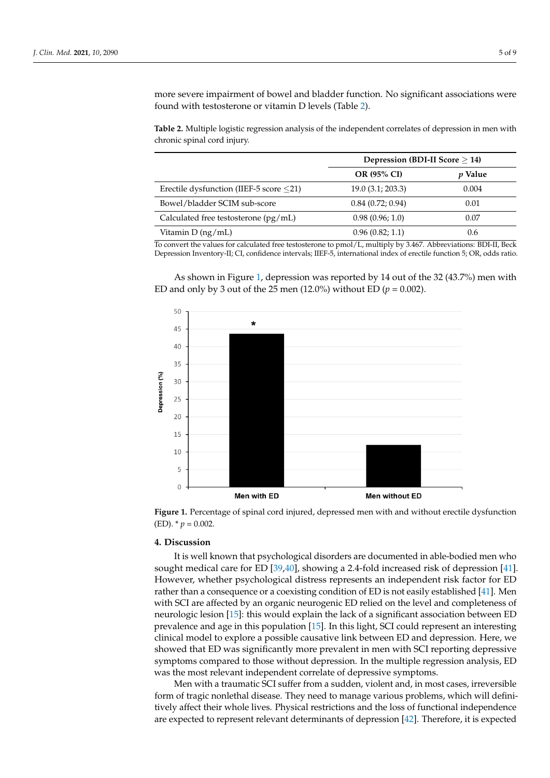more severe impairment of bowel and bladder function. No significant associations were found with testosterone or vitamin D levels (Table [2\)](#page-4-0).

<span id="page-4-0"></span>**Table 2.** Multiple logistic regression analysis of the independent correlates of depression in men with chronic spinal cord injury.

|                                               | Depression (BDI-II Score $\geq$ 14) |                |
|-----------------------------------------------|-------------------------------------|----------------|
|                                               | OR (95% CI)                         | <i>p</i> Value |
| Erectile dysfunction (IIEF-5 score $\leq$ 21) | 19.0(3.1; 203.3)                    | 0.004          |
| Bowel/bladder SCIM sub-score                  | 0.84(0.72; 0.94)                    | 0.01           |
| Calculated free testosterone $(pg/mL)$        | 0.98(0.96; 1.0)                     | 0.07           |
| Vitamin D (ng/mL)                             | 0.96(0.82; 1.1)                     | 0.6            |

To convert the values for calculated free testosterone to pmol/L, multiply by 3.467. Abbreviations: BDI-II, Beck Depression Inventory-II; CI, confidence intervals; IIEF-5, international index of erectile function 5; OR, odds ratio.

As shown in Figure [1,](#page-4-1) depression was reported by 14 out of the 32 (43.7%) men with ED and only by 3 out of the 25 men  $(12.0\%)$  without ED  $(p = 0.002)$ .

<span id="page-4-1"></span>

**Figure 1.** Percentage of spinal cord injured, depressed men with and without erectile dysfunction **Figure 1.** Percentage of spinal cord injured, depressed men with and without erectile dysfunction  $(ED)$ .  $*$   $p = 0.002$ .

# **4. Discussion 4. Discussion**

It is well known that psychological disorders are documented in able-bodied men who sought medical care for ED [\[39,](#page-8-3)[40\]](#page-8-4), showing a 2.4-fold increased risk of depression [\[41\]](#page-8-5). [41]. However, whether psychological distress represents an independent risk factor for However, whether psychological distress represents an independent risk factor for ED rather than a consequence or a coexisting condition of ED is not easily established [\[41\]](#page-8-5). Men<br>in  $C\bar{C}$ Men with SCI are affected by an organic neurogenic ED relied on the level and complete-neurologic lesion [\[15\]](#page-7-4): this would explain the lack of a significant association between ED prevalence and age in this population [\[15\]](#page-7-4). In this light, SCI could represent an interesting prevalence and age in this population [15]. In this light, SCI could represent an interesting tween ED prevalence and age in this population [15]. In this light, SCI could represent an clinical model to explore a possible causative link between ED and depression. Here, we showed that ED was significantly more prevalent in men with SCI reporting depressive symptoms compared to those without depression. In the multiple regression analysis, ED depressive symptoms compared to those without depression. In the multiple regression was the most relevant independent correlate of depressive symptoms. with SCI are affected by an organic neurogenic ED relied on the level and completeness of

Men with a traumatic SCI suffer from a sudden, violent and, in most cases, irreversible Men with a traumatic SCI suffer from a sudden, violent and, in most cases, irreversible form of tragic nonlethal disease. They need to manage various problems, which will definitively affect their whole lives. Physical restrictions and the loss of functional independence are expected to represent relevant determinants of depression  $[42]$ . Therefore, it is expected are expected to represent relevant determinants of depression [\[42\]](#page-8-6). Therefore, it is expected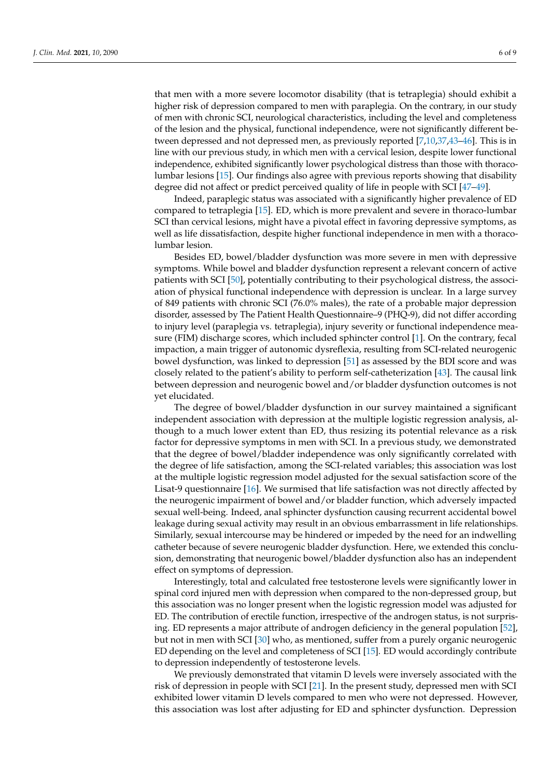that men with a more severe locomotor disability (that is tetraplegia) should exhibit a higher risk of depression compared to men with paraplegia. On the contrary, in our study of men with chronic SCI, neurological characteristics, including the level and completeness of the lesion and the physical, functional independence, were not significantly different between depressed and not depressed men, as previously reported [\[7](#page-6-6)[,10,](#page-6-9)[37,](#page-8-1)[43](#page-8-7)[–46\]](#page-8-8). This is in line with our previous study, in which men with a cervical lesion, despite lower functional independence, exhibited significantly lower psychological distress than those with thoracolumbar lesions [\[15\]](#page-7-4). Our findings also agree with previous reports showing that disability degree did not affect or predict perceived quality of life in people with SCI [\[47](#page-8-9)[–49\]](#page-8-10).

Indeed, paraplegic status was associated with a significantly higher prevalence of ED compared to tetraplegia [\[15\]](#page-7-4). ED, which is more prevalent and severe in thoraco-lumbar SCI than cervical lesions, might have a pivotal effect in favoring depressive symptoms, as well as life dissatisfaction, despite higher functional independence in men with a thoracolumbar lesion.

Besides ED, bowel/bladder dysfunction was more severe in men with depressive symptoms. While bowel and bladder dysfunction represent a relevant concern of active patients with SCI [\[50\]](#page-8-11), potentially contributing to their psychological distress, the association of physical functional independence with depression is unclear. In a large survey of 849 patients with chronic SCI (76.0% males), the rate of a probable major depression disorder, assessed by The Patient Health Questionnaire–9 (PHQ-9), did not differ according to injury level (paraplegia vs. tetraplegia), injury severity or functional independence measure (FIM) discharge scores, which included sphincter control [\[1\]](#page-6-0). On the contrary, fecal impaction, a main trigger of autonomic dysreflexia, resulting from SCI-related neurogenic bowel dysfunction, was linked to depression [\[51\]](#page-8-12) as assessed by the BDI score and was closely related to the patient's ability to perform self-catheterization [\[43\]](#page-8-7). The causal link between depression and neurogenic bowel and/or bladder dysfunction outcomes is not yet elucidated.

The degree of bowel/bladder dysfunction in our survey maintained a significant independent association with depression at the multiple logistic regression analysis, although to a much lower extent than ED, thus resizing its potential relevance as a risk factor for depressive symptoms in men with SCI. In a previous study, we demonstrated that the degree of bowel/bladder independence was only significantly correlated with the degree of life satisfaction, among the SCI-related variables; this association was lost at the multiple logistic regression model adjusted for the sexual satisfaction score of the Lisat-9 questionnaire [\[16\]](#page-7-5). We surmised that life satisfaction was not directly affected by the neurogenic impairment of bowel and/or bladder function, which adversely impacted sexual well-being. Indeed, anal sphincter dysfunction causing recurrent accidental bowel leakage during sexual activity may result in an obvious embarrassment in life relationships. Similarly, sexual intercourse may be hindered or impeded by the need for an indwelling catheter because of severe neurogenic bladder dysfunction. Here, we extended this conclusion, demonstrating that neurogenic bowel/bladder dysfunction also has an independent effect on symptoms of depression.

Interestingly, total and calculated free testosterone levels were significantly lower in spinal cord injured men with depression when compared to the non-depressed group, but this association was no longer present when the logistic regression model was adjusted for ED. The contribution of erectile function, irrespective of the androgen status, is not surprising. ED represents a major attribute of androgen deficiency in the general population [\[52\]](#page-8-13), but not in men with SCI [\[30\]](#page-7-17) who, as mentioned, suffer from a purely organic neurogenic ED depending on the level and completeness of SCI [\[15\]](#page-7-4). ED would accordingly contribute to depression independently of testosterone levels.

We previously demonstrated that vitamin D levels were inversely associated with the risk of depression in people with SCI [\[21\]](#page-7-9). In the present study, depressed men with SCI exhibited lower vitamin D levels compared to men who were not depressed. However, this association was lost after adjusting for ED and sphincter dysfunction. Depression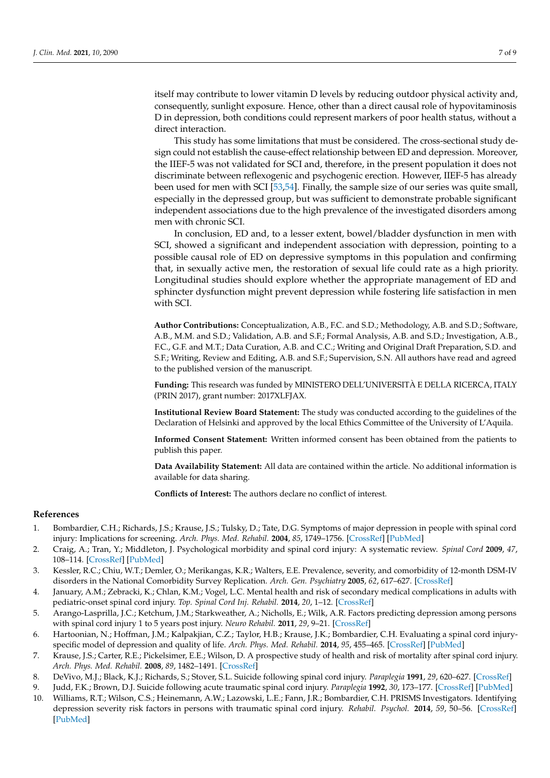itself may contribute to lower vitamin D levels by reducing outdoor physical activity and, consequently, sunlight exposure. Hence, other than a direct causal role of hypovitaminosis D in depression, both conditions could represent markers of poor health status, without a direct interaction.

This study has some limitations that must be considered. The cross-sectional study design could not establish the cause-effect relationship between ED and depression. Moreover, the IIEF-5 was not validated for SCI and, therefore, in the present population it does not discriminate between reflexogenic and psychogenic erection. However, IIEF-5 has already been used for men with SCI [\[53,](#page-8-14)[54\]](#page-8-15). Finally, the sample size of our series was quite small, especially in the depressed group, but was sufficient to demonstrate probable significant independent associations due to the high prevalence of the investigated disorders among men with chronic SCI.

In conclusion, ED and, to a lesser extent, bowel/bladder dysfunction in men with SCI, showed a significant and independent association with depression, pointing to a possible causal role of ED on depressive symptoms in this population and confirming that, in sexually active men, the restoration of sexual life could rate as a high priority. Longitudinal studies should explore whether the appropriate management of ED and sphincter dysfunction might prevent depression while fostering life satisfaction in men with SCI.

**Author Contributions:** Conceptualization, A.B., F.C. and S.D.; Methodology, A.B. and S.D.; Software, A.B., M.M. and S.D.; Validation, A.B. and S.F.; Formal Analysis, A.B. and S.D.; Investigation, A.B., F.C., G.F. and M.T.; Data Curation, A.B. and C.C.; Writing and Original Draft Preparation, S.D. and S.F.; Writing, Review and Editing, A.B. and S.F.; Supervision, S.N. All authors have read and agreed to the published version of the manuscript.

**Funding:** This research was funded by MINISTERO DELL'UNIVERSITÀ E DELLA RICERCA, ITALY (PRIN 2017), grant number: 2017XLFJAX.

**Institutional Review Board Statement:** The study was conducted according to the guidelines of the Declaration of Helsinki and approved by the local Ethics Committee of the University of L'Aquila.

**Informed Consent Statement:** Written informed consent has been obtained from the patients to publish this paper.

**Data Availability Statement:** All data are contained within the article. No additional information is available for data sharing.

**Conflicts of Interest:** The authors declare no conflict of interest.

#### **References**

- <span id="page-6-0"></span>1. Bombardier, C.H.; Richards, J.S.; Krause, J.S.; Tulsky, D.; Tate, D.G. Symptoms of major depression in people with spinal cord injury: Implications for screening. *Arch. Phys. Med. Rehabil.* **2004**, *85*, 1749–1756. [\[CrossRef\]](http://doi.org/10.1016/j.apmr.2004.07.348) [\[PubMed\]](http://www.ncbi.nlm.nih.gov/pubmed/15520969)
- <span id="page-6-1"></span>2. Craig, A.; Tran, Y.; Middleton, J. Psychological morbidity and spinal cord injury: A systematic review. *Spinal Cord* **2009**, *47*, 108–114. [\[CrossRef\]](http://doi.org/10.1038/sc.2008.115) [\[PubMed\]](http://www.ncbi.nlm.nih.gov/pubmed/18779835)
- <span id="page-6-2"></span>3. Kessler, R.C.; Chiu, W.T.; Demler, O.; Merikangas, K.R.; Walters, E.E. Prevalence, severity, and comorbidity of 12-month DSM-IV disorders in the National Comorbidity Survey Replication. *Arch. Gen. Psychiatry* **2005**, *62*, 617–627. [\[CrossRef\]](http://doi.org/10.1001/archpsyc.62.6.617)
- <span id="page-6-3"></span>4. January, A.M.; Zebracki, K.; Chlan, K.M.; Vogel, L.C. Mental health and risk of secondary medical complications in adults with pediatric-onset spinal cord injury. *Top. Spinal Cord Inj. Rehabil.* **2014**, *20*, 1–12. [\[CrossRef\]](http://doi.org/10.1310/sci2001-1)
- <span id="page-6-4"></span>5. Arango-Lasprilla, J.C.; Ketchum, J.M.; Starkweather, A.; Nicholls, E.; Wilk, A.R. Factors predicting depression among persons with spinal cord injury 1 to 5 years post injury. *Neuro Rehabil.* **2011**, *29*, 9–21. [\[CrossRef\]](http://doi.org/10.3233/NRE-2011-0672)
- <span id="page-6-5"></span>6. Hartoonian, N.; Hoffman, J.M.; Kalpakjian, C.Z.; Taylor, H.B.; Krause, J.K.; Bombardier, C.H. Evaluating a spinal cord injuryspecific model of depression and quality of life. *Arch. Phys. Med. Rehabil.* **2014**, *95*, 455–465. [\[CrossRef\]](http://doi.org/10.1016/j.apmr.2013.10.029) [\[PubMed\]](http://www.ncbi.nlm.nih.gov/pubmed/24269994)
- <span id="page-6-6"></span>7. Krause, J.S.; Carter, R.E.; Pickelsimer, E.E.; Wilson, D. A prospective study of health and risk of mortality after spinal cord injury. *Arch. Phys. Med. Rehabil.* **2008**, *89*, 1482–1491. [\[CrossRef\]](http://doi.org/10.1016/j.apmr.2007.11.062)
- <span id="page-6-7"></span>8. DeVivo, M.J.; Black, K.J.; Richards, S.; Stover, S.L. Suicide following spinal cord injury. *Paraplegia* **1991**, *29*, 620–627. [\[CrossRef\]](http://doi.org/10.1038/sc.1991.91)
- <span id="page-6-8"></span>9. Judd, F.K.; Brown, D.J. Suicide following acute traumatic spinal cord injury. *Paraplegia* **1992**, *30*, 173–177. [\[CrossRef\]](http://doi.org/10.1038/sc.1992.50) [\[PubMed\]](http://www.ncbi.nlm.nih.gov/pubmed/1630843)
- <span id="page-6-9"></span>10. Williams, R.T.; Wilson, C.S.; Heinemann, A.W.; Lazowski, L.E.; Fann, J.R.; Bombardier, C.H. PRISMS Investigators. Identifying depression severity risk factors in persons with traumatic spinal cord injury. *Rehabil. Psychol.* **2014**, *59*, 50–56. [\[CrossRef\]](http://doi.org/10.1037/a0034904) [\[PubMed\]](http://www.ncbi.nlm.nih.gov/pubmed/24611924)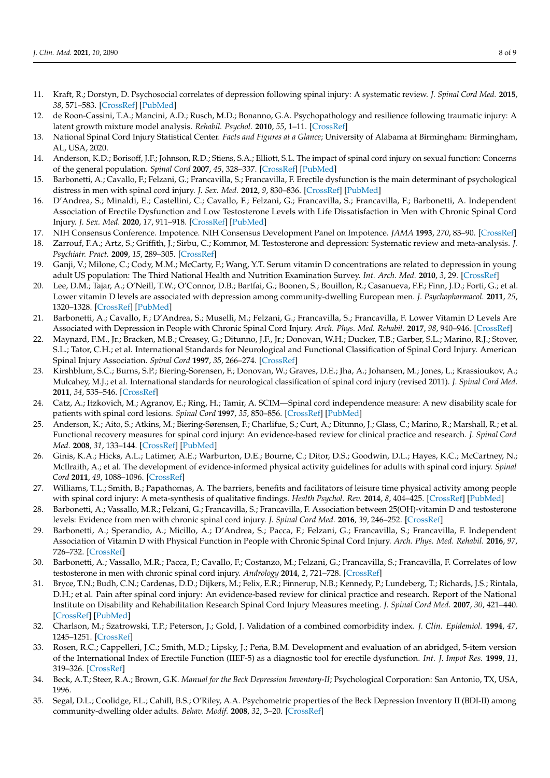- <span id="page-7-0"></span>11. Kraft, R.; Dorstyn, D. Psychosocial correlates of depression following spinal injury: A systematic review. *J. Spinal Cord Med.* **2015**, *38*, 571–583. [\[CrossRef\]](http://doi.org/10.1179/2045772314Y.0000000295) [\[PubMed\]](http://www.ncbi.nlm.nih.gov/pubmed/25691222)
- <span id="page-7-1"></span>12. de Roon-Cassini, T.A.; Mancini, A.D.; Rusch, M.D.; Bonanno, G.A. Psychopathology and resilience following traumatic injury: A latent growth mixture model analysis. *Rehabil. Psychol.* **2010**, *55*, 1–11. [\[CrossRef\]](http://doi.org/10.1037/a0018601)
- <span id="page-7-2"></span>13. National Spinal Cord Injury Statistical Center. *Facts and Figures at a Glance*; University of Alabama at Birmingham: Birmingham, AL, USA, 2020.
- <span id="page-7-3"></span>14. Anderson, K.D.; Borisoff, J.F.; Johnson, R.D.; Stiens, S.A.; Elliott, S.L. The impact of spinal cord injury on sexual function: Concerns of the general population. *Spinal Cord* **2007**, *45*, 328–337. [\[CrossRef\]](http://doi.org/10.1038/sj.sc.3101977) [\[PubMed\]](http://www.ncbi.nlm.nih.gov/pubmed/17033620)
- <span id="page-7-4"></span>15. Barbonetti, A.; Cavallo, F.; Felzani, G.; Francavilla, S.; Francavilla, F. Erectile dysfunction is the main determinant of psychological distress in men with spinal cord injury. *J. Sex. Med.* **2012**, *9*, 830–836. [\[CrossRef\]](http://doi.org/10.1111/j.1743-6109.2011.02599.x) [\[PubMed\]](http://www.ncbi.nlm.nih.gov/pubmed/22188659)
- <span id="page-7-5"></span>16. D'Andrea, S.; Minaldi, E.; Castellini, C.; Cavallo, F.; Felzani, G.; Francavilla, S.; Francavilla, F.; Barbonetti, A. Independent Association of Erectile Dysfunction and Low Testosterone Levels with Life Dissatisfaction in Men with Chronic Spinal Cord Injury. *J. Sex. Med.* **2020**, *17*, 911–918. [\[CrossRef\]](http://doi.org/10.1016/j.jsxm.2020.01.018) [\[PubMed\]](http://www.ncbi.nlm.nih.gov/pubmed/32089485)
- <span id="page-7-6"></span>17. NIH Consensus Conference. Impotence. NIH Consensus Development Panel on Impotence. *JAMA* **1993**, *270*, 83–90. [\[CrossRef\]](http://doi.org/10.1001/jama.1993.03510010089036)
- <span id="page-7-7"></span>18. Zarrouf, F.A.; Artz, S.; Griffith, J.; Sirbu, C.; Kommor, M. Testosterone and depression: Systematic review and meta-analysis. *J. Psychiatr. Pract.* **2009**, *15*, 289–305. [\[CrossRef\]](http://doi.org/10.1097/01.pra.0000358315.88931.fc)
- <span id="page-7-22"></span>19. Ganji, V.; Milone, C.; Cody, M.M.; McCarty, F.; Wang, Y.T. Serum vitamin D concentrations are related to depression in young adult US population: The Third National Health and Nutrition Examination Survey. *Int. Arch. Med.* **2010**, *3*, 29. [\[CrossRef\]](http://doi.org/10.1186/1755-7682-3-29)
- <span id="page-7-8"></span>20. Lee, D.M.; Tajar, A.; O'Neill, T.W.; O'Connor, D.B.; Bartfai, G.; Boonen, S.; Bouillon, R.; Casanueva, F.F.; Finn, J.D.; Forti, G.; et al. Lower vitamin D levels are associated with depression among community-dwelling European men. *J. Psychopharmacol.* **2011**, *25*, 1320–1328. [\[CrossRef\]](http://doi.org/10.1177/0269881110379287) [\[PubMed\]](http://www.ncbi.nlm.nih.gov/pubmed/20823081)
- <span id="page-7-9"></span>21. Barbonetti, A.; Cavallo, F.; D'Andrea, S.; Muselli, M.; Felzani, G.; Francavilla, S.; Francavilla, F. Lower Vitamin D Levels Are Associated with Depression in People with Chronic Spinal Cord Injury. *Arch. Phys. Med. Rehabil.* **2017**, *98*, 940–946. [\[CrossRef\]](http://doi.org/10.1016/j.apmr.2016.11.006)
- <span id="page-7-10"></span>22. Maynard, F.M., Jr.; Bracken, M.B.; Creasey, G.; Ditunno, J.F., Jr.; Donovan, W.H.; Ducker, T.B.; Garber, S.L.; Marino, R.J.; Stover, S.L.; Tator, C.H.; et al. International Standards for Neurological and Functional Classification of Spinal Cord Injury. American Spinal Injury Association. *Spinal Cord* **1997**, *35*, 266–274. [\[CrossRef\]](http://doi.org/10.1038/sj.sc.3100432)
- <span id="page-7-11"></span>23. Kirshblum, S.C.; Burns, S.P.; Biering-Sorensen, F.; Donovan, W.; Graves, D.E.; Jha, A.; Johansen, M.; Jones, L.; Krassioukov, A.; Mulcahey, M.J.; et al. International standards for neurological classification of spinal cord injury (revised 2011). *J. Spinal Cord Med.* **2011**, *34*, 535–546. [\[CrossRef\]](http://doi.org/10.1179/204577211X13207446293695)
- <span id="page-7-12"></span>24. Catz, A.; Itzkovich, M.; Agranov, E.; Ring, H.; Tamir, A. SCIM—Spinal cord independence measure: A new disability scale for patients with spinal cord lesions. *Spinal Cord* **1997**, *35*, 850–856. [\[CrossRef\]](http://doi.org/10.1038/sj.sc.3100504) [\[PubMed\]](http://www.ncbi.nlm.nih.gov/pubmed/9429264)
- <span id="page-7-13"></span>25. Anderson, K.; Aito, S.; Atkins, M.; Biering-Sørensen, F.; Charlifue, S.; Curt, A.; Ditunno, J.; Glass, C.; Marino, R.; Marshall, R.; et al. Functional recovery measures for spinal cord injury: An evidence-based review for clinical practice and research. *J. Spinal Cord Med.* **2008**, *31*, 133–144. [\[CrossRef\]](http://doi.org/10.1080/10790268.2008.11760704) [\[PubMed\]](http://www.ncbi.nlm.nih.gov/pubmed/18581660)
- <span id="page-7-14"></span>26. Ginis, K.A.; Hicks, A.L.; Latimer, A.E.; Warburton, D.E.; Bourne, C.; Ditor, D.S.; Goodwin, D.L.; Hayes, K.C.; McCartney, N.; McIlraith, A.; et al. The development of evidence-informed physical activity guidelines for adults with spinal cord injury. *Spinal Cord* **2011**, *49*, 1088–1096. [\[CrossRef\]](http://doi.org/10.1038/sc.2011.63)
- <span id="page-7-15"></span>27. Williams, T.L.; Smith, B.; Papathomas, A. The barriers, benefits and facilitators of leisure time physical activity among people with spinal cord injury: A meta-synthesis of qualitative findings. *Health Psychol. Rev.* **2014**, *8*, 404–425. [\[CrossRef\]](http://doi.org/10.1080/17437199.2014.898406) [\[PubMed\]](http://www.ncbi.nlm.nih.gov/pubmed/25211208)
- 28. Barbonetti, A.; Vassallo, M.R.; Felzani, G.; Francavilla, S.; Francavilla, F. Association between 25(OH)-vitamin D and testosterone levels: Evidence from men with chronic spinal cord injury. *J. Spinal Cord Med.* **2016**, *39*, 246–252. [\[CrossRef\]](http://doi.org/10.1179/2045772315Y.0000000050)
- <span id="page-7-16"></span>29. Barbonetti, A.; Sperandio, A.; Micillo, A.; D'Andrea, S.; Pacca, F.; Felzani, G.; Francavilla, S.; Francavilla, F. Independent Association of Vitamin D with Physical Function in People with Chronic Spinal Cord Injury. *Arch. Phys. Med. Rehabil.* **2016**, *97*, 726–732. [\[CrossRef\]](http://doi.org/10.1016/j.apmr.2016.01.002)
- <span id="page-7-17"></span>30. Barbonetti, A.; Vassallo, M.R.; Pacca, F.; Cavallo, F.; Costanzo, M.; Felzani, G.; Francavilla, S.; Francavilla, F. Correlates of low testosterone in men with chronic spinal cord injury. *Andrology* **2014**, *2*, 721–728. [\[CrossRef\]](http://doi.org/10.1111/j.2047-2927.2014.00235.x)
- <span id="page-7-18"></span>31. Bryce, T.N.; Budh, C.N.; Cardenas, D.D.; Dijkers, M.; Felix, E.R.; Finnerup, N.B.; Kennedy, P.; Lundeberg, T.; Richards, J.S.; Rintala, D.H.; et al. Pain after spinal cord injury: An evidence-based review for clinical practice and research. Report of the National Institute on Disability and Rehabilitation Research Spinal Cord Injury Measures meeting. *J. Spinal Cord Med.* **2007**, *30*, 421–440. [\[CrossRef\]](http://doi.org/10.1080/10790268.2007.11753405) [\[PubMed\]](http://www.ncbi.nlm.nih.gov/pubmed/18092558)
- <span id="page-7-19"></span>32. Charlson, M.; Szatrowski, T.P.; Peterson, J.; Gold, J. Validation of a combined comorbidity index. *J. Clin. Epidemiol.* **1994**, *47*, 1245–1251. [\[CrossRef\]](http://doi.org/10.1016/0895-4356(94)90129-5)
- <span id="page-7-20"></span>33. Rosen, R.C.; Cappelleri, J.C.; Smith, M.D.; Lipsky, J.; Peña, B.M. Development and evaluation of an abridged, 5-item version of the International Index of Erectile Function (IIEF-5) as a diagnostic tool for erectile dysfunction. *Int. J. Impot Res.* **1999**, *11*, 319–326. [\[CrossRef\]](http://doi.org/10.1038/sj.ijir.3900472)
- <span id="page-7-21"></span>34. Beck, A.T.; Steer, R.A.; Brown, G.K. *Manual for the Beck Depression Inventory-II*; Psychological Corporation: San Antonio, TX, USA, 1996.
- <span id="page-7-23"></span>35. Segal, D.L.; Coolidge, F.L.; Cahill, B.S.; O'Riley, A.A. Psychometric properties of the Beck Depression Inventory II (BDI-II) among community-dwelling older adults. *Behav. Modif.* **2008**, *32*, 3–20. [\[CrossRef\]](http://doi.org/10.1177/0145445507303833)